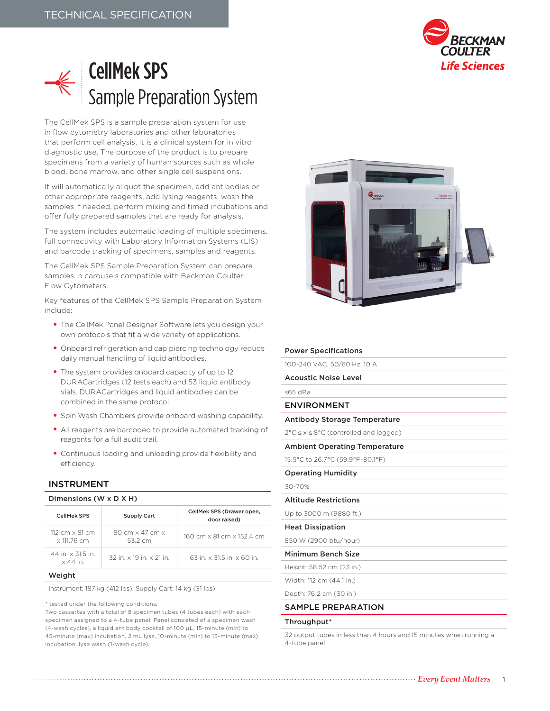

# CellMek SPS Sample Preparation System

The CellMek SPS is a sample preparation system for use in flow cytometry laboratories and other laboratories that perform cell analysis. It is a clinical system for in vitro diagnostic use. The purpose of the product is to prepare specimens from a variety of human sources such as whole blood, bone marrow, and other single cell suspensions.

It will automatically aliquot the specimen, add antibodies or other appropriate reagents, add lysing reagents, wash the samples if needed, perform mixing and timed incubations and offer fully prepared samples that are ready for analysis.

The system includes automatic loading of multiple specimens, full connectivity with Laboratory Information Systems (LIS) and barcode tracking of specimens, samples and reagents.

The CellMek SPS Sample Preparation System can prepare samples in carousels compatible with Beckman Coulter Flow Cytometers.

Key features of the CellMek SPS Sample Preparation System include:

- The CellMek Panel Designer Software lets you design your own protocols that fit a wide variety of applications.
- Onboard refrigeration and cap piercing technology reduce daily manual handling of liquid antibodies.
- The system provides onboard capacity of up to 12 DURACartridges (12 tests each) and 53 liquid antibody vials. DURACartridges and liquid antibodies can be combined in the same protocol.
- Spin Wash Chambers provide onboard washing capability.
- All reagents are barcoded to provide automated tracking of reagents for a full audit trail.
- Continuous loading and unloading provide flexibility and efficiency.

## INSTRUMENT

## Dimensions (W x D X H)

| CellMek SPS                                              | <b>Supply Cart</b>                    | CellMek SPS (Drawer open.<br>door raised) |
|----------------------------------------------------------|---------------------------------------|-------------------------------------------|
| $112 \, \text{cm} \times 81 \, \text{cm}$<br>x 111.76 cm | 80 cm x 47 cm x<br>532 cm             | 160 cm x 81 cm x 152 4 cm                 |
| 44 in x 31.5 in<br>x 44 in                               | $32$ in $\times$ 19 in $\times$ 21 in | 63 in $\times$ 31.5 in $\times$ 60 in     |

#### Weight

Instrument: 187 kg (412 lbs); Supply Cart: 14 kg (31 lbs)

\* tested under the following conditions:

Two cassettes with a total of 8 specimen tubes (4 tubes each) with each specimen assigned to a 4-tube panel. Panel consisted of a specimen wash (4-wash cycles), a liquid antibody cocktail of 100 μL, 15-minute (min) to 45-minute (max) incubation, 2 mL lyse, 10-minute (min) to 15-minute (max) incubation, lyse wash (1-wash cycle).



## Power Specifications

| 100-240 VAC, 50/60 Hz, 10 A                               |
|-----------------------------------------------------------|
| <b>Acoustic Noise Level</b>                               |
| $<$ 65 dBa                                                |
| <b>ENVIRONMENT</b>                                        |
| <b>Antibody Storage Temperature</b>                       |
| $2^{\circ}C \le x \le 8^{\circ}C$ (controlled and logged) |
| <b>Ambient Operating Temperature</b>                      |
| 15.5°C to 26.7°C (59.9°F-80.1°F)                          |
| <b>Operating Humidity</b>                                 |
| 30-70%                                                    |
| <b>Altitude Restrictions</b>                              |
| Up to 3000 m (9880 ft.)                                   |
| <b>Heat Dissipation</b>                                   |
| 850 W (2900 btu/hour)                                     |
| Minimum Bench Size                                        |
| Height: 58.52 cm (23 in.)                                 |

## Width: 112 cm (44.1 in.) Depth: 76.2 cm (30 in.)

## SAMPLE PREPARATION

## Throughput\*

32 output tubes in less than 4 hours and 15 minutes when running a 4-tube panel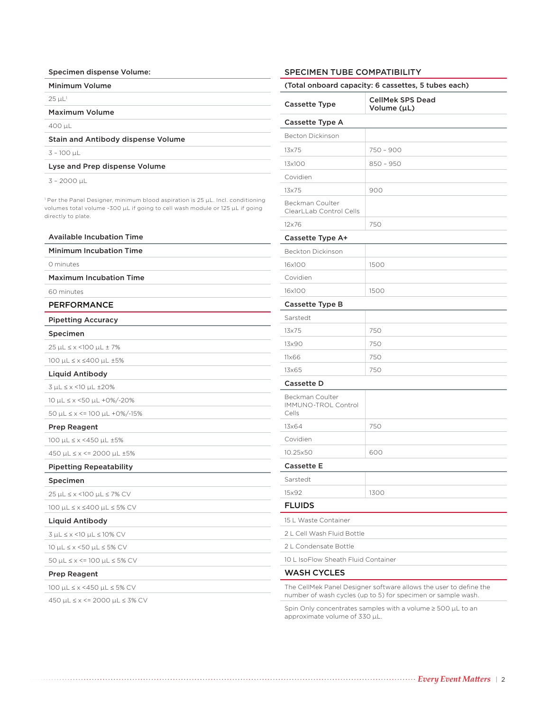| Specimen dispense Volume:                                                                                                                                                                                                                  |
|--------------------------------------------------------------------------------------------------------------------------------------------------------------------------------------------------------------------------------------------|
| Minimum Volume                                                                                                                                                                                                                             |
| $25 \mathrm{u}$ L <sup>1</sup>                                                                                                                                                                                                             |
| Maximum Volume                                                                                                                                                                                                                             |
| 400 µL                                                                                                                                                                                                                                     |
| <b>Stain and Antibody dispense Volume</b>                                                                                                                                                                                                  |
| $3 - 100$ µL                                                                                                                                                                                                                               |
| Lyse and Prep dispense Volume                                                                                                                                                                                                              |
| $3 - 2000 \mu L$                                                                                                                                                                                                                           |
| <sup>1</sup> Per the Panel Designer, minimum blood aspiration is $25 \mu L$ . Incl. conditioning<br>volumes total volume -300 µL if going to cell wash module or 125 µL if going<br>directly to plate.<br><b>Available Incubation Time</b> |
| <b>Minimum Incubation Time</b>                                                                                                                                                                                                             |
| O minutes                                                                                                                                                                                                                                  |
| <b>Maximum Incubation Time</b>                                                                                                                                                                                                             |
| 60 minutes                                                                                                                                                                                                                                 |
| <b>PERFORMANCE</b>                                                                                                                                                                                                                         |
| <b>Pipetting Accuracy</b>                                                                                                                                                                                                                  |
| Specimen                                                                                                                                                                                                                                   |
| 25 µL ≤ x <100 µL ± 7%                                                                                                                                                                                                                     |
| 100 µL ≤ x ≤400 µL ±5%                                                                                                                                                                                                                     |
| <b>Liquid Antibody</b>                                                                                                                                                                                                                     |
| $3 \text{ m} < x < 10 \text{ m} + 20\%$                                                                                                                                                                                                    |

| 100 uL ≤ x <450 uL ±5%                         |  |
|------------------------------------------------|--|
| <b>Prep Reagent</b>                            |  |
| $50 \mu L \leq x \leq 100 \mu L + 0\% / -15\%$ |  |
| 10 uL ≤ x <50 uL +0%/-20%                      |  |
| $3$ uL $\leq x \leq 10$ uL $\pm 20\%$          |  |

450 µL ≤ x <= 2000 µL ±5%

# Pipetting Repeatability

## Specimen

25 µL ≤ x <100 µL ≤ 7% CV 100 µL ≤ x ≤400 µL ≤ 5% CV

### Liquid Antibody

3 µL ≤ x <10 µL ≤ 10% CV 10 µL ≤ x <50 µL ≤ 5% CV

50 µL ≤ x <= 100 µL ≤ 5% CV

#### Prep Reagent

100 µL ≤ x <450 µL ≤ 5% CV

450 µL ≤ x <= 2000 µL ≤ 3% CV

## SPECIMEN TUBE COMPATIBILITY

|  | (Total onboard capacity: 6 cassettes, 5 tubes each) |  |
|--|-----------------------------------------------------|--|
|  |                                                     |  |

| <b>Cassette Type</b>                            | <b>CellMek SPS Dead</b><br>Volume (µL) |  |
|-------------------------------------------------|----------------------------------------|--|
| Cassette Type A                                 |                                        |  |
| <b>Becton Dickinson</b>                         |                                        |  |
| 13x75                                           | 750 - 900                              |  |
| 13x100                                          | $850 - 950$                            |  |
| Covidien                                        |                                        |  |
| 13x75                                           | 900                                    |  |
| Beckman Coulter<br>ClearLLab Control Cells      |                                        |  |
| 12×76                                           | 750                                    |  |
| Cassette Type A+                                |                                        |  |
| Beckton Dickinson                               |                                        |  |
| 16x100                                          | 1500                                   |  |
| Covidien                                        |                                        |  |
| 16×100                                          | 1500                                   |  |
| Cassette Type B                                 |                                        |  |
| Sarstedt                                        |                                        |  |
| 13x75                                           | 750                                    |  |
| 13×90                                           | 750                                    |  |
| 11x66                                           | 750                                    |  |
| 13x65                                           | 750                                    |  |
| <b>Cassette D</b>                               |                                        |  |
| Beckman Coulter<br>IMMUNO-TROL Control<br>Cells |                                        |  |
| 13x64                                           | 750                                    |  |
| Covidien                                        |                                        |  |
| 10.25x50                                        | 600                                    |  |
| <b>Cassette E</b>                               |                                        |  |
| Sarstedt                                        |                                        |  |
| 15×92                                           | 1300                                   |  |
| <b>FLUIDS</b>                                   |                                        |  |
| 15 L Waste Container                            |                                        |  |
| 2 L Cell Wash Fluid Bottle                      |                                        |  |
| 21 Condensate Bottle                            |                                        |  |
| 10 L IsoFlow Sheath Fluid Container             |                                        |  |
| <b>WASH CYCLES</b>                              |                                        |  |

The CellMek Panel Designer software allows the user to define the number of wash cycles (up to 5) for specimen or sample wash.

Spin Only concentrates samples with a volume ≥ 500 µL to an approximate volume of 330 µL.